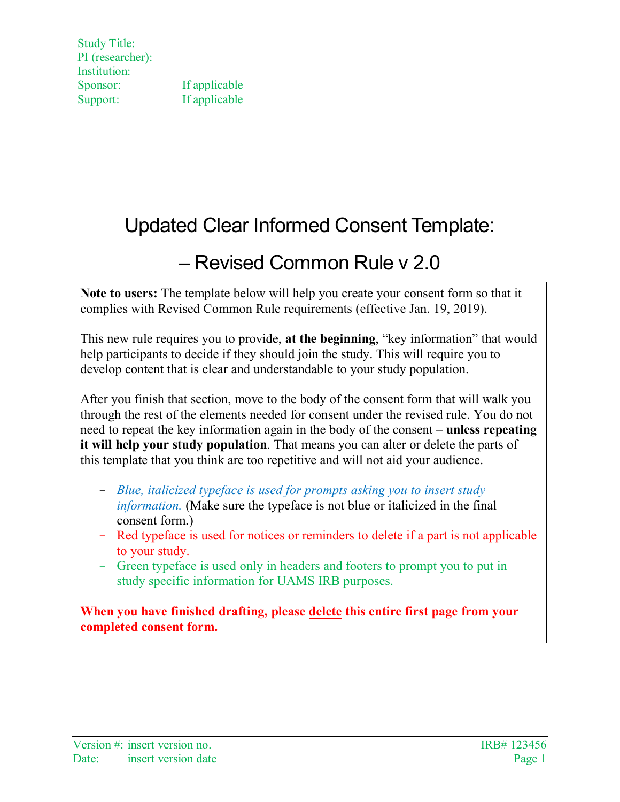# Updated Clear Informed Consent Template:

# – Revised Common Rule v 2.0

**Note to users:** The template below will help you create your consent form so that it complies with Revised Common Rule requirements (effective Jan. 19, 2019).

This new rule requires you to provide, **at the beginning**, "key information" that would help participants to decide if they should join the study. This will require you to develop content that is clear and understandable to your study population.

After you finish that section, move to the body of the consent form that will walk you through the rest of the elements needed for consent under the revised rule. You do not need to repeat the key information again in the body of the consent – **unless repeating it will help your study population**. That means you can alter or delete the parts of this template that you think are too repetitive and will not aid your audience.

- *Blue, italicized typeface is used for prompts asking you to insert study information.* (Make sure the typeface is not blue or italicized in the final consent form.)
- Red typeface is used for notices or reminders to delete if a part is not applicable to your study.
- Green typeface is used only in headers and footers to prompt you to put in study specific information for UAMS IRB purposes.

**When you have finished drafting, please delete this entire first page from your completed consent form.**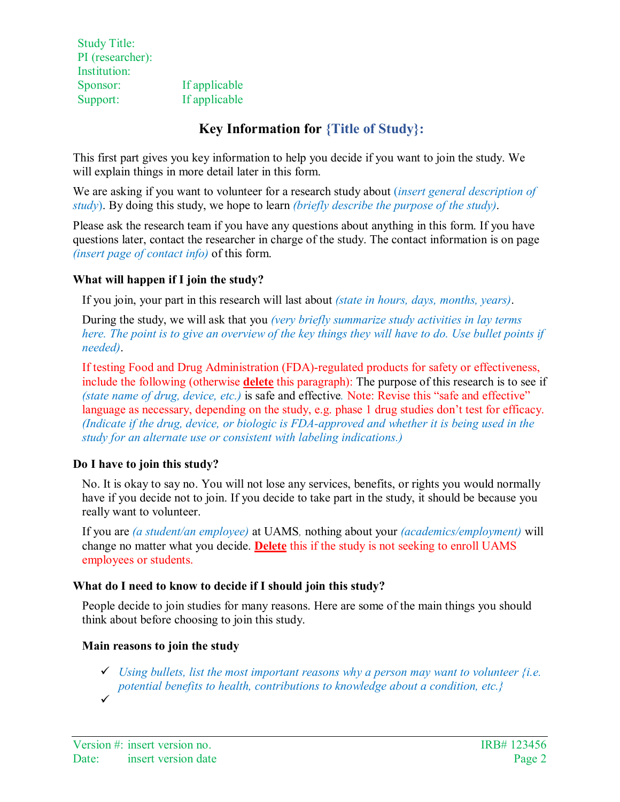# **Key Information for {Title of Study}:**

This first part gives you key information to help you decide if you want to join the study. We will explain things in more detail later in this form.

We are asking if you want to volunteer for a research study about (*insert general description of study*). By doing this study, we hope to learn *(briefly describe the purpose of the study)*.

Please ask the research team if you have any questions about anything in this form. If you have questions later, contact the researcher in charge of the study. The contact information is on page *(insert page of contact info)* of this form.

# **What will happen if I join the study?**

If you join, your part in this research will last about *(state in hours, days, months, years)*.

During the study, we will ask that you *(very briefly summarize study activities in lay terms here. The point is to give an overview of the key things they will have to do. Use bullet points if needed)*.

If testing Food and Drug Administration (FDA)-regulated products for safety or effectiveness, include the following (otherwise **delete** this paragraph): The purpose of this research is to see if *(state name of drug, device, etc.)* is safe and effective*.* Note: Revise this "safe and effective" language as necessary, depending on the study, e.g. phase 1 drug studies don't test for efficacy. *(Indicate if the drug, device, or biologic is FDA-approved and whether it is being used in the study for an alternate use or consistent with labeling indications.)*

# **Do I have to join this study?**

No. It is okay to say no. You will not lose any services, benefits, or rights you would normally have if you decide not to join. If you decide to take part in the study, it should be because you really want to volunteer.

If you are *(a student/an employee)* at UAMS*,* nothing about your *(academics/employment)* will change no matter what you decide. **Delete** this if the study is not seeking to enroll UAMS employees or students.

# **What do I need to know to decide if I should join this study?**

People decide to join studies for many reasons. Here are some of the main things you should think about before choosing to join this study.

# **Main reasons to join the study**

- $\checkmark$  Using bullets, list the most important reasons why a person may want to volunteer  $\{i.e.$ *potential benefits to health, contributions to knowledge about a condition, etc.}*
- $\checkmark$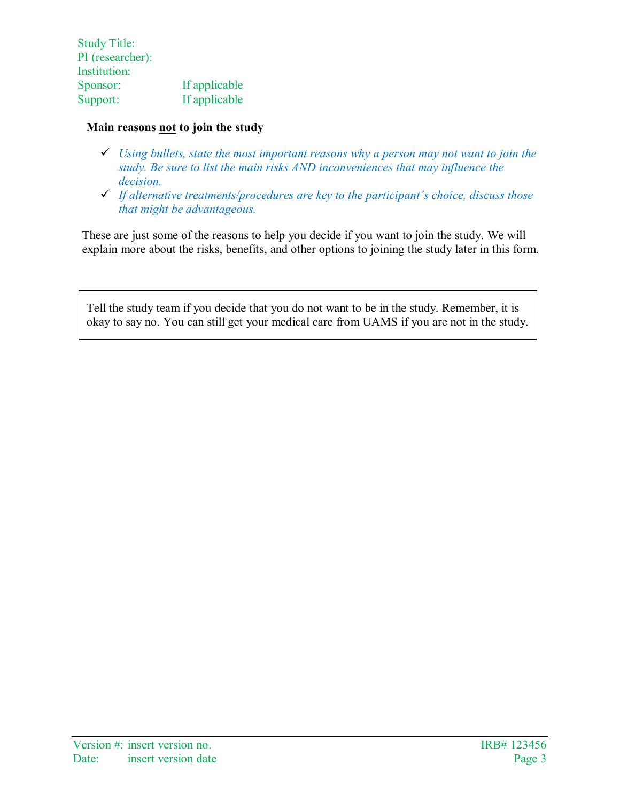#### **Main reasons not to join the study**

- *Using bullets, state the most important reasons why a person may not want to join the study. Be sure to list the main risks AND inconveniences that may influence the decision.*
- *If alternative treatments/procedures are key to the participant's choice, discuss those that might be advantageous.*

These are just some of the reasons to help you decide if you want to join the study. We will explain more about the risks, benefits, and other options to joining the study later in this form.

Tell the study team if you decide that you do not want to be in the study. Remember, it is okay to say no. You can still get your medical care from UAMS if you are not in the study.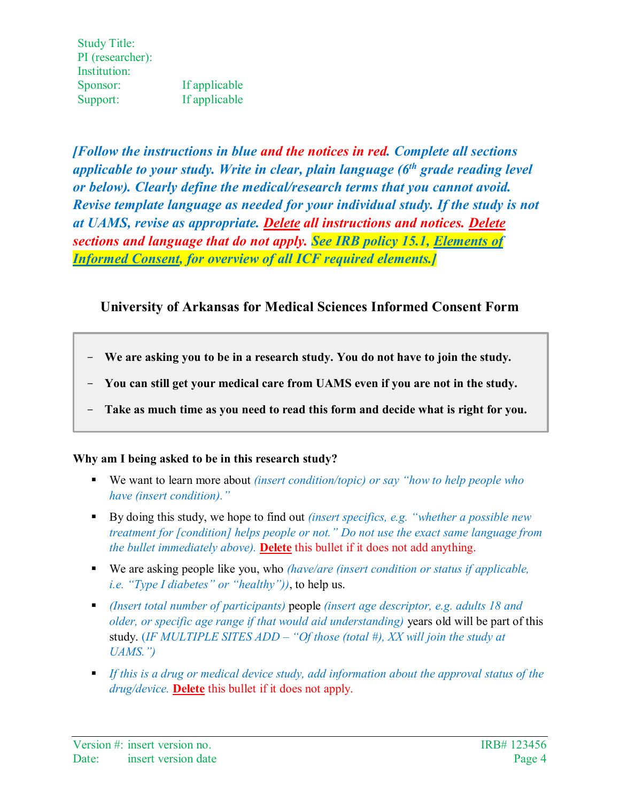*[Follow the instructions in blue and the notices in red. Complete all sections applicable to your study. Write in clear, plain language (6th grade reading level or below). Clearly define the medical/research terms that you cannot avoid. Revise template language as needed for your individual study. If the study is not at UAMS, revise as appropriate. Delete all instructions and notices. Delete sections and language that do not apply. See IRB policy 15.1, [Elements](http://irb.uams.edu/irb-policies/current-irb-policies/consent/) of [Informed Consent,](http://irb.uams.edu/irb-policies/current-irb-policies/consent/) for overview of all ICF required elements.]*

# **University of Arkansas for Medical Sciences Informed Consent Form**

- **We are asking you to be in a research study. You do not have to join the study.**
- **You can still get your medical care from UAMS even if you are not in the study.**
- **Take as much time as you need to read this form and decide what is right for you.**

# **Why am I being asked to be in this research study?**

- We want to learn more about *(insert condition/topic) or say "how to help people who have (insert condition)."*
- By doing this study, we hope to find out *(insert specifics, e.g. "whether a possible new treatment for [condition] helps people or not." Do not use the exact same language from the bullet immediately above).* **Delete** this bullet if it does not add anything.
- We are asking people like you, who *(have/are (insert condition or status if applicable, i.e. "Type I diabetes" or "healthy"))*, to help us.
- *(Insert total number of participants)* people *(insert age descriptor, e.g. adults 18 and older, or specific age range if that would aid understanding)* years old will be part of this study. (*IF MULTIPLE SITES ADD – "Of those (total #), XX will join the study at UAMS.")*
- *If this is a drug or medical device study, add information about the approval status of the drug/device.* **Delete** this bullet if it does not apply.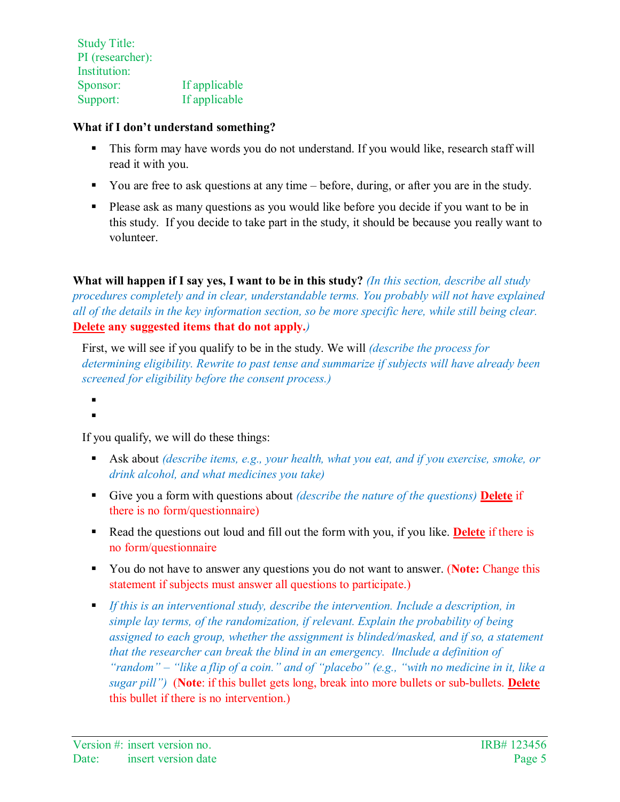# **What if I don't understand something?**

- This form may have words you do not understand. If you would like, research staff will read it with you.
- You are free to ask questions at any time before, during, or after you are in the study.
- **Please ask as many questions as you would like before you decide if you want to be in** this study. If you decide to take part in the study, it should be because you really want to volunteer.

**What will happen if I say yes, I want to be in this study?** *(In this section, describe all study procedures completely and in clear, understandable terms. You probably will not have explained all of the details in the key information section, so be more specific here, while still being clear.*  **Delete any suggested items that do not apply.***)*

First, we will see if you qualify to be in the study. We will *(describe the process for determining eligibility. Rewrite to past tense and summarize if subjects will have already been screened for eligibility before the consent process.)*

.  $\blacksquare$ 

If you qualify, we will do these things:

- Ask about *(describe items, e.g., your health, what you eat, and if you exercise, smoke, or drink alcohol, and what medicines you take)*
- Give you a form with questions about *(describe the nature of the questions)* **Delete** if there is no form/questionnaire)
- Read the questions out loud and fill out the form with you, if you like. **Delete** if there is no form/questionnaire
- You do not have to answer any questions you do not want to answer. (**Note:** Change this statement if subjects must answer all questions to participate.)
- *If this is an interventional study, describe the intervention. Include a description, in simple lay terms, of the randomization, if relevant. Explain the probability of being assigned to each group, whether the assignment is blinded/masked, and if so, a statement that the researcher can break the blind in an emergency. IInclude a definition of "random" – "like a flip of a coin." and of "placebo" (e.g., "with no medicine in it, like a sugar pill")* (**Note**: if this bullet gets long, break into more bullets or sub-bullets. **Delete** this bullet if there is no intervention.)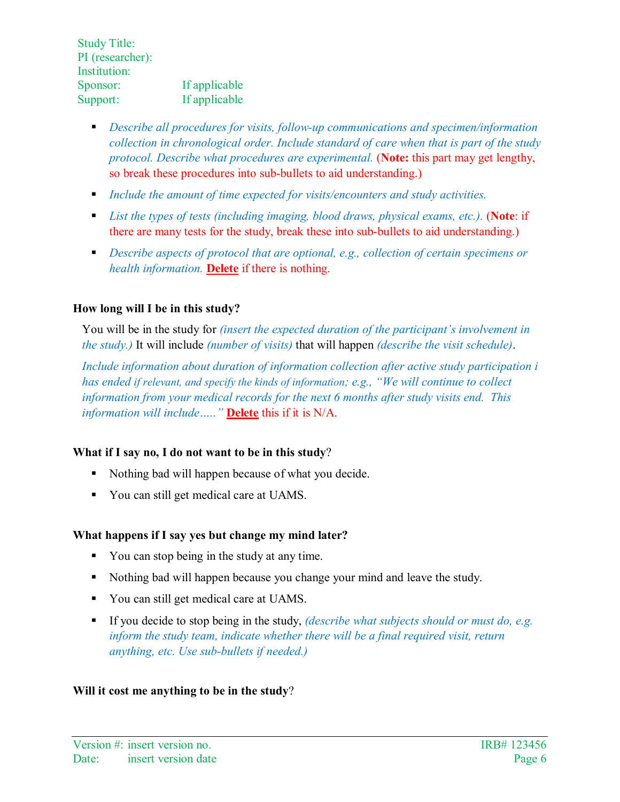- *Describe all procedures for visits, follow-up communications and specimen/information collection in chronological order. Include standard of care when that is part of the study protocol. Describe what procedures are experimental.* (**Note:** this part may get lengthy, so break these procedures into sub-bullets to aid understanding.)
- *Include the amount of time expected for visits/encounters and study activities.*
- *List the types of tests (including imaging, blood draws, physical exams, etc.).* (**Note**: if there are many tests for the study, break these into sub-bullets to aid understanding.)
- *Describe aspects of protocol that are optional, e.g., collection of certain specimens or health information.* **Delete** if there is nothing.

# **How long will I be in this study?**

You will be in the study for *(insert the expected duration of the participant's involvement in the study.)* It will include *(number of visits)* that will happen *(describe the visit schedule)*.

*Include information about duration of information collection after active study participation i has ended if relevant, and specify the kinds of information; e.g., "We will continue to collect information from your medical records for the next 6 months after study visits end. This information will include….."* **Delete** this if it is N/A.

# **What if I say no, I do not want to be in this study**?

- Nothing bad will happen because of what you decide.
- You can still get medical care at UAMS.

# **What happens if I say yes but change my mind later?**

- You can stop being in the study at any time.
- Nothing bad will happen because you change your mind and leave the study.
- You can still get medical care at UAMS.
- If you decide to stop being in the study, *(describe what subjects should or must do, e.g. inform the study team, indicate whether there will be a final required visit, return anything, etc. Use sub-bullets if needed.)*

# **Will it cost me anything to be in the study**?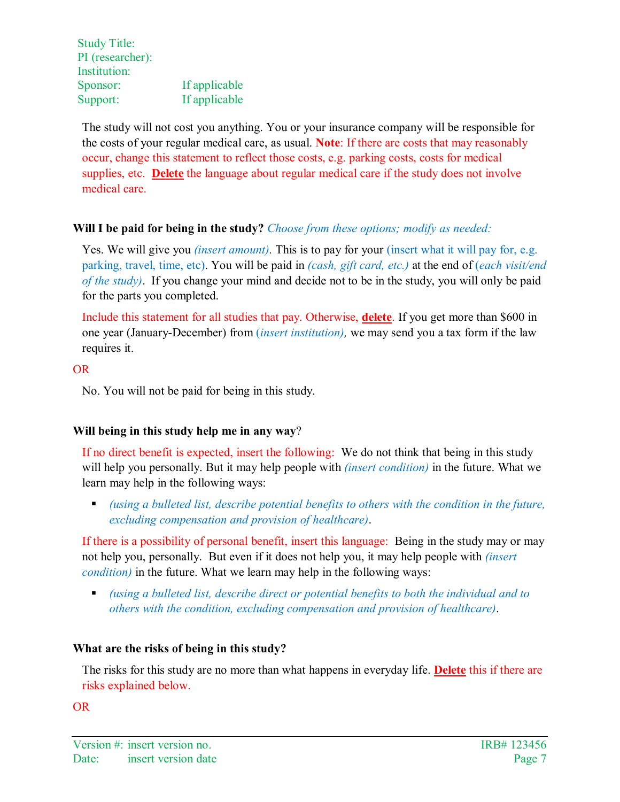The study will not cost you anything. You or your insurance company will be responsible for the costs of your regular medical care, as usual. **Note**: If there are costs that may reasonably occur, change this statement to reflect those costs, e.g. parking costs, costs for medical supplies, etc. **Delete** the language about regular medical care if the study does not involve medical care.

# **Will I be paid for being in the study?** *Choose from these options; modify as needed:*

Yes. We will give you *(insert amount)*. This is to pay for your *(insert what it will pay for, e.g.*) parking, travel, time, etc). You will be paid in *(cash, gift card, etc.)* at the end of (*each visit/end of the study)*. If you change your mind and decide not to be in the study, you will only be paid for the parts you completed.

Include this statement for all studies that pay. Otherwise, **delete**. If you get more than \$600 in one year (January-December) from (*insert institution),* we may send you a tax form if the law requires it.

#### OR

No. You will not be paid for being in this study.

#### **Will being in this study help me in any way**?

If no direct benefit is expected, insert the following:We do not think that being in this study will help you personally. But it may help people with *(insert condition)* in the future. What we learn may help in the following ways:

**•** (using a bulleted list, describe potential benefits to others with the condition in the future, *excluding compensation and provision of healthcare)*.

If there is a possibility of personal benefit, insert this language:Being in the study may or may not help you, personally. But even if it does not help you, it may help people with *(insert condition)* in the future. What we learn may help in the following ways:

 *(using a bulleted list, describe direct or potential benefits to both the individual and to others with the condition, excluding compensation and provision of healthcare)*.

#### **What are the risks of being in this study?**

The risks for this study are no more than what happens in everyday life. **Delete** this if there are risks explained below.

OR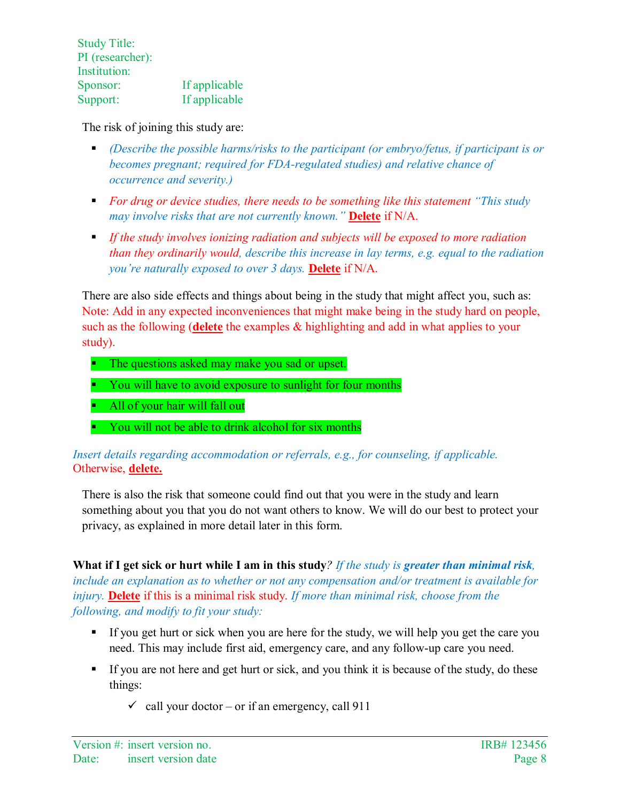The risk of joining this study are:

- *(Describe the possible harms/risks to the participant (or embryo/fetus, if participant is or becomes pregnant; required for FDA-regulated studies) and relative chance of occurrence and severity.)*
- *For drug or device studies, there needs to be something like this statement "This study may involve risks that are not currently known."* **Delete** if N/A.
- *If the study involves ionizing radiation and subjects will be exposed to more radiation than they ordinarily would, describe this increase in lay terms, e.g. equal to the radiation you're naturally exposed to over 3 days.* **Delete** if N/A.

There are also side effects and things about being in the study that might affect you, such as: Note: Add in any expected inconveniences that might make being in the study hard on people, such as the following (**delete** the examples & highlighting and add in what applies to your study).

- The questions asked may make you sad or upset.
- You will have to avoid exposure to sunlight for four months
- All of your hair will fall out
- You will not be able to drink alcohol for six months

# *Insert details regarding accommodation or referrals, e.g., for counseling, if applicable.* Otherwise, **delete.**

There is also the risk that someone could find out that you were in the study and learn something about you that you do not want others to know. We will do our best to protect your privacy, as explained in more detail later in this form.

**What if I get sick or hurt while I am in this study***? If the study is greater than minimal risk, include an explanation as to whether or not any compensation and/or treatment is available for injury.* **Delete** if this is a minimal risk study. *If more than minimal risk, choose from the following, and modify to fit your study:* 

- If you get hurt or sick when you are here for the study, we will help you get the care you need. This may include first aid, emergency care, and any follow-up care you need.
- If you are not here and get hurt or sick, and you think it is because of the study, do these things:
	- $\checkmark$  call your doctor or if an emergency, call 911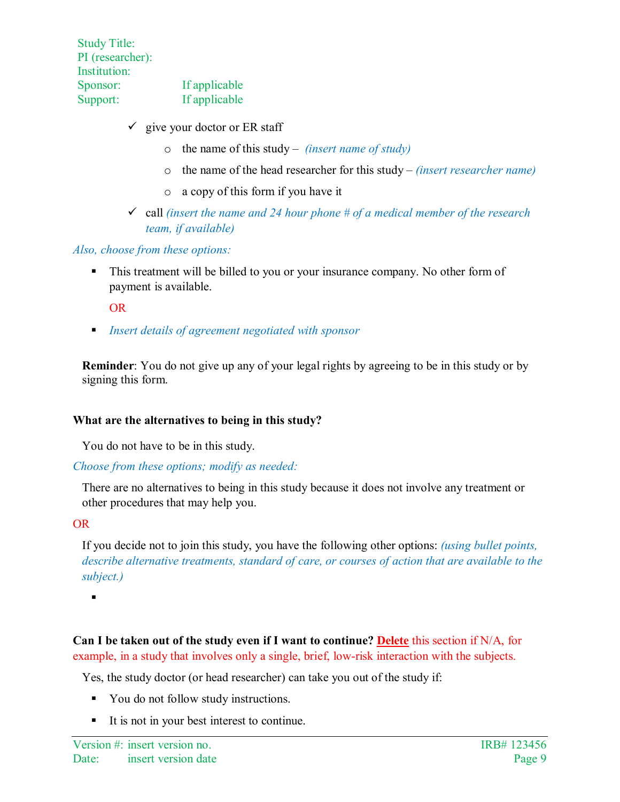- $\checkmark$  give your doctor or ER staff
	- o the name of this study *(insert name of study)*
	- o the name of the head researcher for this study *(insert researcher name)*
	- o a copy of this form if you have it
- call *(insert the name and 24 hour phone # of a medical member of the research team, if available)*

*Also, choose from these options:*

• This treatment will be billed to you or your insurance company. No other form of payment is available.

OR

*Insert details of agreement negotiated with sponsor* 

**Reminder**: You do not give up any of your legal rights by agreeing to be in this study or by signing this form.

# **What are the alternatives to being in this study?**

You do not have to be in this study.

#### *Choose from these options; modify as needed:*

There are no alternatives to being in this study because it does not involve any treatment or other procedures that may help you.

# OR

If you decide not to join this study, you have the following other options: *(using bullet points, describe alternative treatments, standard of care, or courses of action that are available to the subject.)*

 $\blacksquare$ 

**Can I be taken out of the study even if I want to continue? Delete** this section if N/A, for example, in a study that involves only a single, brief, low-risk interaction with the subjects.

Yes, the study doctor (or head researcher) can take you out of the study if:

- You do not follow study instructions.
- It is not in your best interest to continue.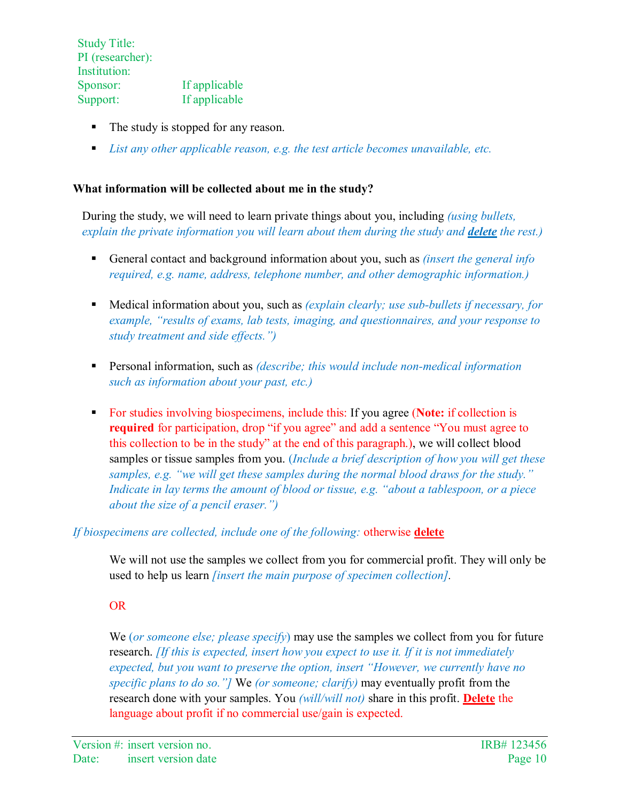- The study is stopped for any reason.
- *List any other applicable reason, e.g. the test article becomes unavailable, etc.*

#### **What information will be collected about me in the study?**

During the study, we will need to learn private things about you, including *(using bullets, explain the private information you will learn about them during the study and <i>delete* the rest.)

- General contact and background information about you, such as *(insert the general info required, e.g. name, address, telephone number, and other demographic information.)*
- Medical information about you, such as *(explain clearly; use sub-bullets if necessary, for example, "results of exams, lab tests, imaging, and questionnaires, and your response to study treatment and side effects.")*
- Personal information, such as *(describe; this would include non-medical information such as information about your past, etc.)*
- For studies involving biospecimens, include this: If you agree (**Note:** if collection is **required** for participation, drop "if you agree" and add a sentence "You must agree to this collection to be in the study" at the end of this paragraph.), we will collect blood samples or tissue samples from you. (*Include a brief description of how you will get these samples, e.g. "we will get these samples during the normal blood draws for the study." Indicate in lay terms the amount of blood or tissue, e.g. "about a tablespoon, or a piece about the size of a pencil eraser.")*

# *If biospecimens are collected, include one of the following:* otherwise **delete**

We will not use the samples we collect from you for commercial profit. They will only be used to help us learn *[insert the main purpose of specimen collection].*

#### OR

We (*or someone else; please specify*) may use the samples we collect from you for future research. *[If this is expected, insert how you expect to use it. If it is not immediately expected, but you want to preserve the option, insert "However, we currently have no specific plans to do so."]* We *(or someone; clarify)* may eventually profit from the research done with your samples. You *(will/will not)* share in this profit. **Delete** the language about profit if no commercial use/gain is expected.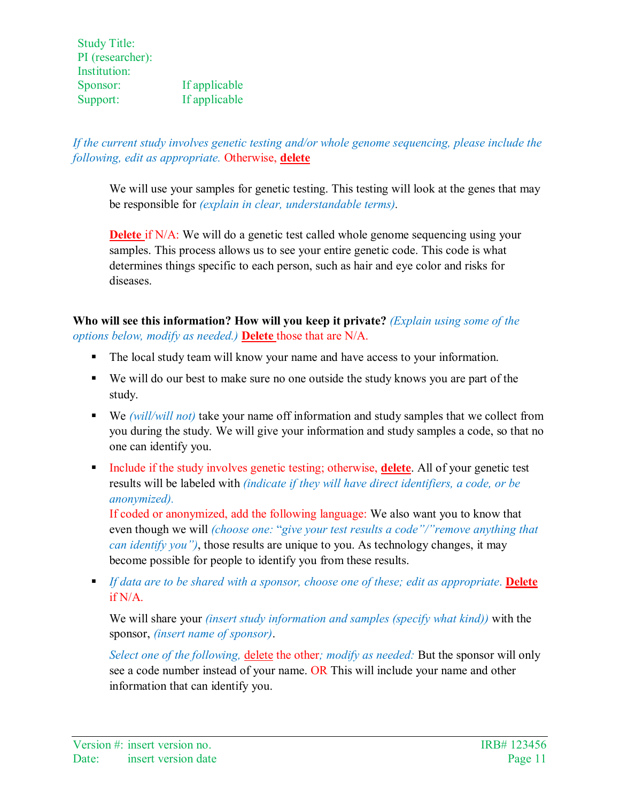*If the current study involves genetic testing and/or whole genome sequencing, please include the following, edit as appropriate.* Otherwise, **delete**

We will use your samples for genetic testing. This testing will look at the genes that may be responsible for *(explain in clear, understandable terms).*

**Delete** if N/A: We will do a genetic test called whole genome sequencing using your samples. This process allows us to see your entire genetic code. This code is what determines things specific to each person, such as hair and eye color and risks for diseases.

**Who will see this information? How will you keep it private?** *(Explain using some of the options below, modify as needed.)* **Delete** those that are N/A.

- The local study team will know your name and have access to your information.
- We will do our best to make sure no one outside the study knows you are part of the study.
- We *(will/will not)* take your name off information and study samples that we collect from you during the study. We will give your information and study samples a code, so that no one can identify you.
- Include if the study involves genetic testing; otherwise, **delete**. All of your genetic test results will be labeled with *(indicate if they will have direct identifiers, a code, or be anonymized).*

If coded or anonymized, add the following language: We also want you to know that even though we will *(choose one:* "*give your test results a code"/"remove anything that can identify you")*, those results are unique to you. As technology changes, it may become possible for people to identify you from these results.

**If data are to be shared with a sponsor, choose one of these; edit as appropriate. Delete** if N/A.

We will share your *(insert study information and samples (specify what kind))* with the sponsor, *(insert name of sponsor)*.

*Select one of the following, delete the other; modify as needed: But the sponsor will only* see a code number instead of your name. OR This will include your name and other information that can identify you.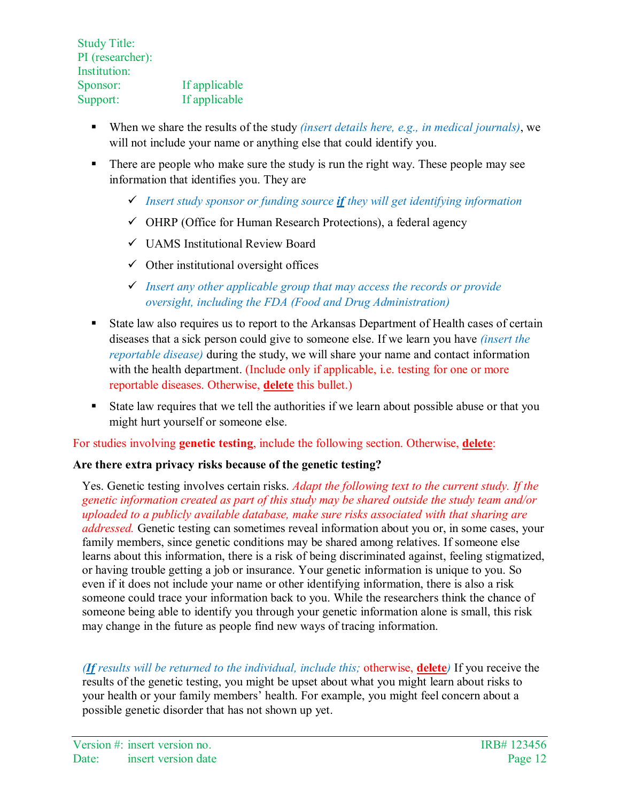- When we share the results of the study *(insert details here, e.g., in medical journals)*, we will not include your name or anything else that could identify you.
- There are people who make sure the study is run the right way. These people may see information that identifies you. They are
	- *Insert study sponsor or funding source if they will get identifying information*
	- $\checkmark$  OHRP (Office for Human Research Protections), a federal agency
	- UAMS Institutional Review Board
	- $\checkmark$  Other institutional oversight offices
	- *Insert any other applicable group that may access the records or provide oversight, including the FDA (Food and Drug Administration)*
- State law also requires us to report to the Arkansas Department of Health cases of certain diseases that a sick person could give to someone else. If we learn you have *(insert the reportable disease)* during the study, we will share your name and contact information with the health department. (Include only if applicable, *i.e.* testing for one or more reportable diseases. Otherwise, **delete** this bullet.)
- State law requires that we tell the authorities if we learn about possible abuse or that you might hurt yourself or someone else.

For studies involving **genetic testing**, include the following section. Otherwise, **delete**:

# **Are there extra privacy risks because of the genetic testing?**

Yes. Genetic testing involves certain risks. *Adapt the following text to the current study. If the genetic information created as part of this study may be shared outside the study team and/or uploaded to a publicly available database, make sure risks associated with that sharing are addressed.* Genetic testing can sometimes reveal information about you or, in some cases, your family members, since genetic conditions may be shared among relatives. If someone else learns about this information, there is a risk of being discriminated against, feeling stigmatized, or having trouble getting a job or insurance. Your genetic information is unique to you. So even if it does not include your name or other identifying information, there is also a risk someone could trace your information back to you. While the researchers think the chance of someone being able to identify you through your genetic information alone is small, this risk may change in the future as people find new ways of tracing information.

*(If results will be returned to the individual, include this;* otherwise, **delete***)* If you receive the results of the genetic testing, you might be upset about what you might learn about risks to your health or your family members' health. For example, you might feel concern about a possible genetic disorder that has not shown up yet.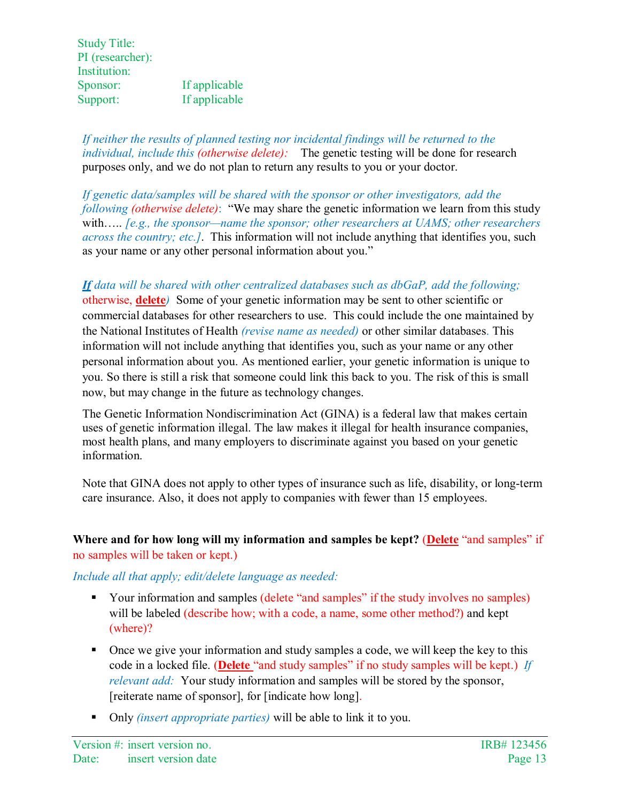*If neither the results of planned testing nor incidental findings will be returned to the individual, include this (otherwise delete):* The genetic testing will be done for research purposes only, and we do not plan to return any results to you or your doctor.

*If genetic data/samples will be shared with the sponsor or other investigators, add the following (otherwise delete)*: "We may share the genetic information we learn from this study with….. *[e.g., the sponsor—name the sponsor; other researchers at UAMS; other researchers across the country; etc.]*. This information will not include anything that identifies you, such as your name or any other personal information about you."

*If data will be shared with other centralized databases such as dbGaP, add the following;*  otherwise, **delete***)* Some of your genetic information may be sent to other scientific or commercial databases for other researchers to use. This could include the one maintained by the National Institutes of Health *(revise name as needed)* or other similar databases. This information will not include anything that identifies you, such as your name or any other personal information about you. As mentioned earlier, your genetic information is unique to you. So there is still a risk that someone could link this back to you. The risk of this is small now, but may change in the future as technology changes.

The Genetic Information Nondiscrimination Act (GINA) is a federal law that makes certain uses of genetic information illegal. The law makes it illegal for health insurance companies, most health plans, and many employers to discriminate against you based on your genetic information.

Note that GINA does not apply to other types of insurance such as life, disability, or long-term care insurance. Also, it does not apply to companies with fewer than 15 employees.

# **Where and for how long will my information and samples be kept?** (**Delete** "and samples" if no samples will be taken or kept.)

# *Include all that apply; edit/delete language as needed:*

- Your information and samples (delete "and samples" if the study involves no samples) will be labeled (describe how; with a code, a name, some other method?) and kept (where)?
- Once we give your information and study samples a code, we will keep the key to this code in a locked file. (**Delete** "and study samples" if no study samples will be kept.) *If relevant add:* Your study information and samples will be stored by the sponsor, [reiterate name of sponsor], for [indicate how long].
- Only *(insert appropriate parties)* will be able to link it to you.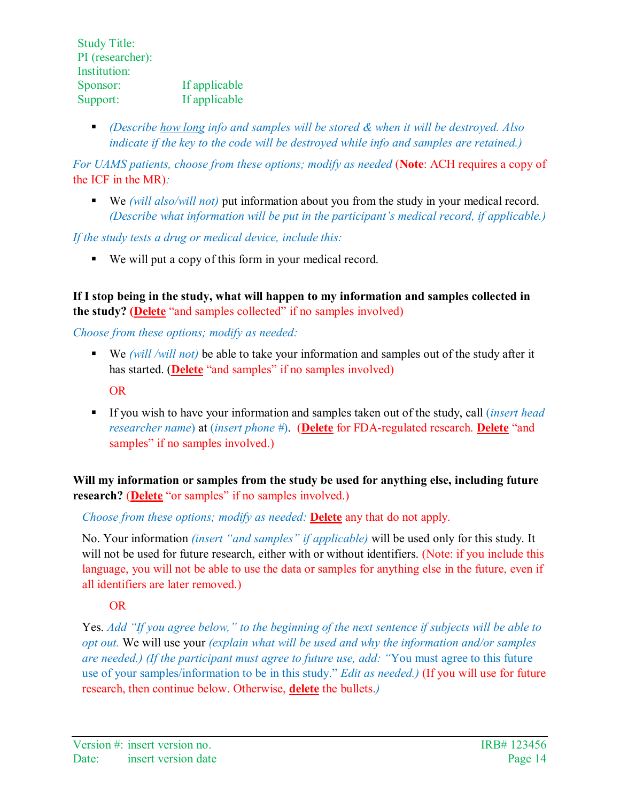*(Describe how long info and samples will be stored & when it will be destroyed. Also indicate if the key to the code will be destroyed while info and samples are retained.)*

*For UAMS patients, choose from these options; modify as needed (Note: ACH requires a copy of* the ICF in the MR)*:*

 We *(will also/will not)* put information about you from the study in your medical record. *(Describe what information will be put in the participant's medical record, if applicable.)*

*If the study tests a drug or medical device, include this:*

We will put a copy of this form in your medical record.

**If I stop being in the study, what will happen to my information and samples collected in the study? (Delete** "and samples collected" if no samples involved)

*Choose from these options; modify as needed:*

- We *(will /will not)* be able to take your information and samples out of the study after it has started. (**Delete** "and samples" if no samples involved) OR
- If you wish to have your information and samples taken out of the study, call (*insert head researcher name*) at (*insert phone #*). (**Delete** for FDA-regulated research. **Delete** "and samples" if no samples involved.)

**Will my information or samples from the study be used for anything else, including future research?** (**Delete** "or samples" if no samples involved.)

*Choose from these options; modify as needed:* **Delete** any that do not apply.

No. Your information *(insert "and samples" if applicable)* will be used only for this study. It will not be used for future research, either with or without identifiers. (Note: if you include this language, you will not be able to use the data or samples for anything else in the future, even if all identifiers are later removed.)

OR

Yes. *Add "If you agree below," to the beginning of the next sentence if subjects will be able to opt out.* We will use your *(explain what will be used and why the information and/or samples are needed.) (If the participant must agree to future use, add: "*You must agree to this future use of your samples/information to be in this study." *Edit as needed.)* (If you will use for future research, then continue below. Otherwise, **delete** the bullets.*)*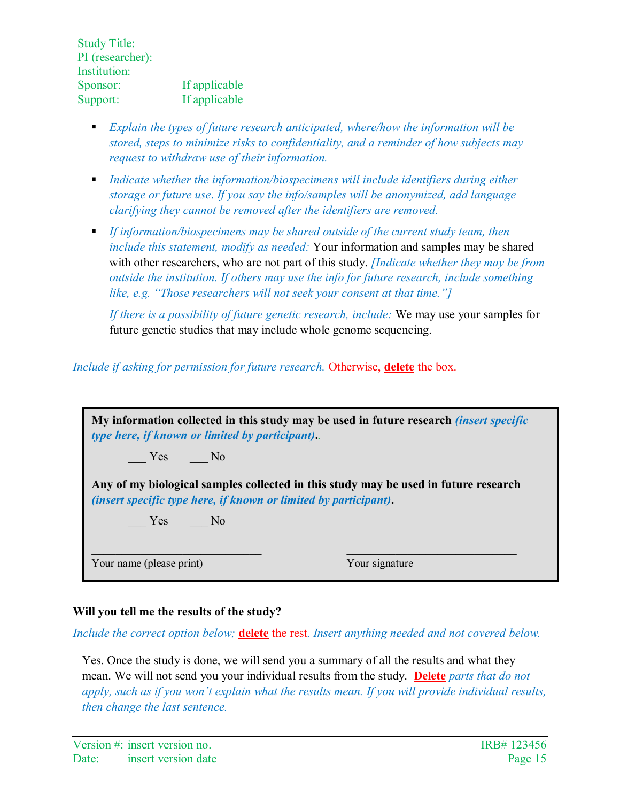- *Explain the types of future research anticipated, where/how the information will be stored, steps to minimize risks to confidentiality, and a reminder of how subjects may request to withdraw use of their information.*
- **Indicate whether the information/biospecimens will include identifiers during either** *storage or future use*. *If you say the info/samples will be anonymized, add language clarifying they cannot be removed after the identifiers are removed.*
- *If information/biospecimens may be shared outside of the current study team, then include this statement, modify as needed:* Your information and samples may be shared with other researchers, who are not part of this study. *[Indicate whether they may be from outside the institution. If others may use the info for future research, include something like, e.g. "Those researchers will not seek your consent at that time."]*

*If there is a possibility of future genetic research, include:* We may use your samples for future genetic studies that may include whole genome sequencing.

*Include if asking for permission for future research.* Otherwise, **delete** the box.

| My information collected in this study may be used in future research <i>(insert specific</i> )<br>type here, if known or limited by participant).             |                |
|----------------------------------------------------------------------------------------------------------------------------------------------------------------|----------------|
| $Yes$ No                                                                                                                                                       |                |
| Any of my biological samples collected in this study may be used in future research<br><i>(insert specific type here, if known or limited by participant).</i> |                |
| No Yes No                                                                                                                                                      |                |
|                                                                                                                                                                |                |
| Your name (please print)                                                                                                                                       | Your signature |

# **Will you tell me the results of the study?**

*Include the correct option below;* **delete** the rest*. Insert anything needed and not covered below.*

Yes. Once the study is done, we will send you a summary of all the results and what they mean. We will not send you your individual results from the study. **Delete** *parts that do not apply, such as if you won't explain what the results mean. If you will provide individual results, then change the last sentence.*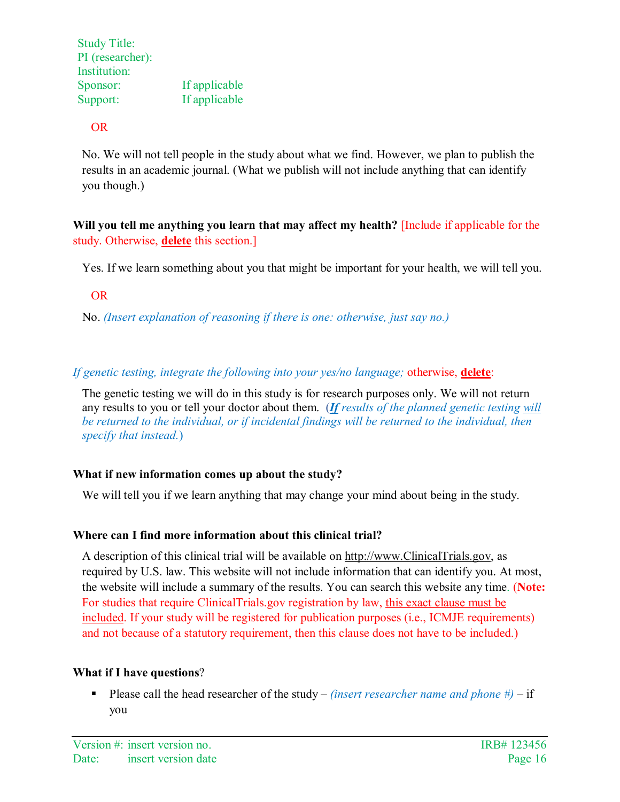OR

No. We will not tell people in the study about what we find. However, we plan to publish the results in an academic journal. (What we publish will not include anything that can identify you though.)

**Will you tell me anything you learn that may affect my health?** [Include if applicable for the study. Otherwise, **delete** this section.]

Yes. If we learn something about you that might be important for your health, we will tell you.

OR

No. *(Insert explanation of reasoning if there is one: otherwise, just say no.)*

*If genetic testing, integrate the following into your yes/no language;* otherwise, **delete**:

The genetic testing we will do in this study is for research purposes only. We will not return any results to you or tell your doctor about them. (*If results of the planned genetic testing will be returned to the individual, or if incidental findings will be returned to the individual, then specify that instead.*)

# **What if new information comes up about the study?**

We will tell you if we learn anything that may change your mind about being in the study.

# **Where can I find more information about this clinical trial?**

A description of this clinical trial will be available on [http://www.ClinicalTrials.gov,](http://www.clinicaltrials.gov/) as required by U.S. law. This website will not include information that can identify you. At most, the website will include a summary of the results. You can search this website any time. (**Note:** For studies that require ClinicalTrials.gov registration by law, this exact clause must be included. If your study will be registered for publication purposes (i.e., ICMJE requirements) and not because of a statutory requirement, then this clause does not have to be included.)

# **What if I have questions**?

**Please call the head researcher of the study** – *(insert researcher name and phone*  $#$ ) – if you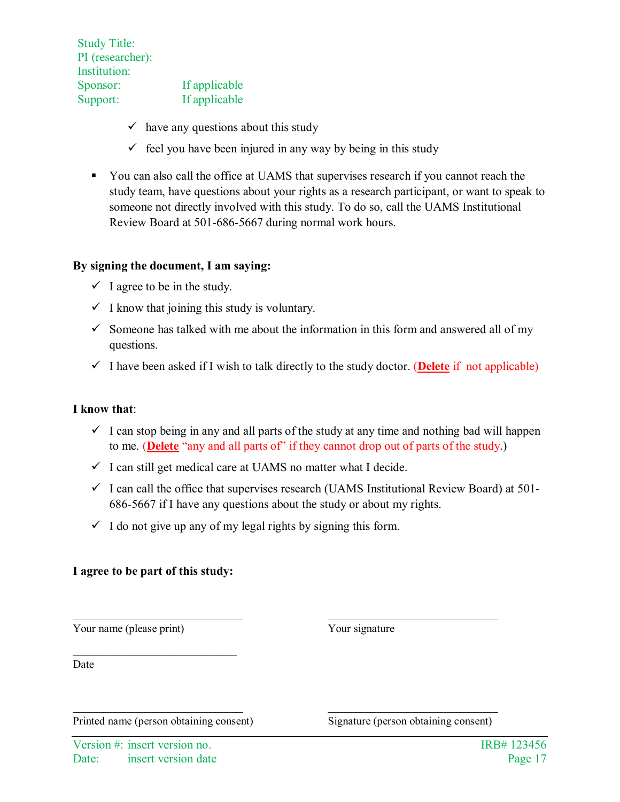- $\checkmark$  have any questions about this study
- $\checkmark$  feel you have been injured in any way by being in this study
- You can also call the office at UAMS that supervises research if you cannot reach the study team, have questions about your rights as a research participant, or want to speak to someone not directly involved with this study. To do so, call the UAMS Institutional Review Board at 501-686-5667 during normal work hours.

#### **By signing the document, I am saying:**

- $\checkmark$  I agree to be in the study.
- $\checkmark$  I know that joining this study is voluntary.
- $\checkmark$  Someone has talked with me about the information in this form and answered all of my questions.
- I have been asked if I wish to talk directly to the study doctor. (**Delete** if not applicable)

#### **I know that**:

- $\checkmark$  I can stop being in any and all parts of the study at any time and nothing bad will happen to me. (**Delete** "any and all parts of" if they cannot drop out of parts of the study.)
- $\checkmark$  I can still get medical care at UAMS no matter what I decide.
- $\checkmark$  I can call the office that supervises research (UAMS Institutional Review Board) at 501-686-5667 if I have any questions about the study or about my rights.

\_\_\_\_\_\_\_\_\_\_\_\_\_\_\_\_\_\_\_\_\_\_\_\_\_\_\_\_ \_\_\_\_\_\_\_\_\_\_\_\_\_\_\_\_\_\_\_\_\_\_\_\_\_\_\_\_

\_\_\_\_\_\_\_\_\_\_\_\_\_\_\_\_\_\_\_\_\_\_\_\_\_\_\_\_ \_\_\_\_\_\_\_\_\_\_\_\_\_\_\_\_\_\_\_\_\_\_\_\_\_\_\_\_

 $\checkmark$  I do not give up any of my legal rights by signing this form.

#### **I agree to be part of this study:**

Your name (please print) Your signature

Date

Printed name (person obtaining consent) Signature (person obtaining consent)